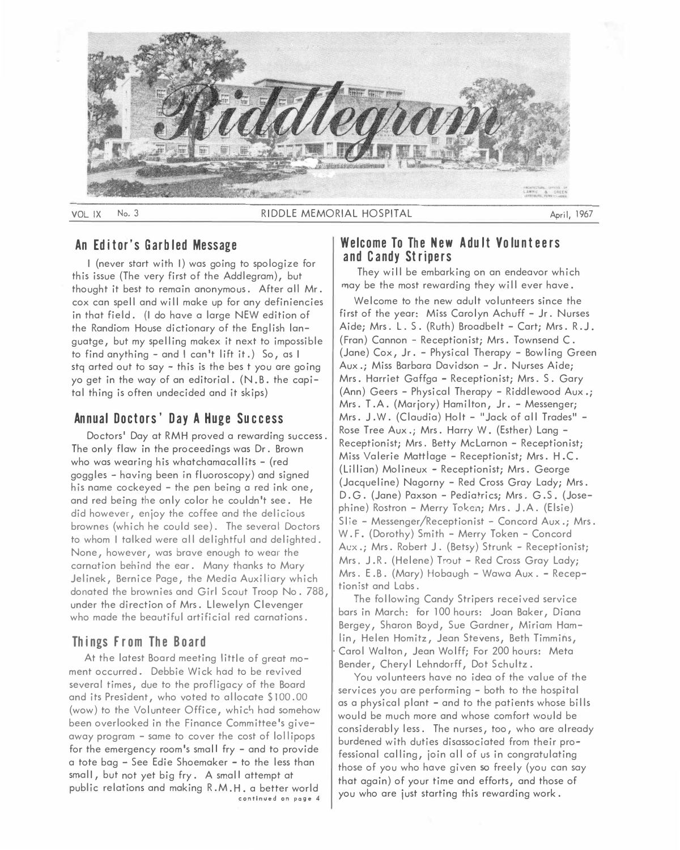

#### VOL IX No. 3 April, 1967 RIDDLE MEMORIAL HOSPITAL April, 1967

### **An Editor's Garbled Message**

I (never start with I) was going to spologize for this issue (The very first of the Addlegram), but thought it best to remain anonymous. After all Mr. cox can spell and will make up for any definiencies in that field. (I do have a large NEW edition of the Randiom House dictionary of the English languatge, but my spelling makex it next to impossible to find anything - and I can't lift it.) So, as I stq arted out to say  $-$  this is the bes t you are going yo get in the way of an editorial. (N .B. the capital thing is often undecided and it skips)

# **Annual Doctors' Day A Huge Success**

Doctors' Day at RMH proved a rewarding success. The only flaw in the proceedings was Dr. Brown who was wearing his whatchamacallits - (red goggles - having been in fluoroscopy) and signed his name cockeyed - the pen being a red ink one, and red being the only color he couldn't see. He did however, enjoy the coffee and the delicious brownes (which he could see). The several Doctors to whom I talked were all delightful and delighted. None, however, was brave enough to wear the carnation behind the ear. Many thanks to Mory Jelinek, Bernice Page, the Media Auxiliary which donated the brownies and Girl Scout Troop No. 788, under the direction of Mrs. Llewelyn Clevenger who made the beautiful artificial red carnations.

## **Things From The Board**

At the latest Board meeting little of great moment occurred. Debbie Wick hod to be revived several times, due to the profligacy of the Board and its President, who voted to allocate \$100.00 (wow) to the Volunteer Office, which had somehow been overlooked in the Finance Committee's giveaway program - same to cover the cost of lollipops for the emergency room's small fry - and to provide a tote bag - See Edie Shoemaker - to the less than small, but not yet big fry. A small attempt at public relations and making R.M.H. a better world **continued on page 4** 

## **Welcome To The New A du It Vo lunt ee rs and Candy Stripers**

They will be embarking on an endeavor which may be the most rewarding they will ever have.

Welcome to the new adult volunteers since the first of the year: Miss Carolyn Achuff - Jr. Nurses Aide; Mrs. L. S. (Ruth) Broadbelt - Cart; Mrs. R.J. (Fran) Cannon - Receptionist; Mrs. Townsend C. (Jane) Cox, Jr. - Physical Therapy - Bowling Green Aux.; Miss Barbara Davidson - Jr. Nurses Aide; Mrs. Harriet Goffga - Receptionist; Mrs. S. Gary (Ann) Geers - Physical Therapy - Riddlewood Aux.; Mrs. T .A. (Marjory) Hamilton, Jr. - Messenger; Mrs. J.W. (Claudia) Holt - "Jack of all Trades" -Rose Tree Aux.; Mrs. Horry W. (Esther) Lang - Receptionist; Mrs. Betty McLarnon - Receptionist; Miss Valerie Mattlage - Receptionist; Mrs. H.C. (Lillian) Molineux - Receptionist; Mrs. George (Jacqueline) Nogorny - Red Cross Gray Lady; Mrs. D.G. (Jane) Paxson - Pediatrics; Mrs. G.S. (Jose<sup>p</sup>hine) Rostron - Merry Token; Mrs. J.A. (Elsie) Slie - Messenger/Receptionist - Concord Aux.; Mrs. W. F. (Dorothy) Smith - Merry Token - Concord Aux.; Mrs. Robert J. (Betsy) Strunk - Receptionist; Mrs. J.R. (Helene) Trout - Red Cross Gray Lady; Mrs. E.B. (Mary) Hobaugh - Wawa Aux. - Receptionist and Labs.

The following Candy Stripers received service bars in March: for 100 hours: Joan Baker, Diana Bergey, Sharon Boyd, Sue Gardner, Miriam Hamlin, Helen Homitz, Jean Stevens, Beth Timmins, Carol Walton, Jean Wolff; For 200 hours: Meta Bender, Cheryl Lehndorff, Dot Schultz.

You volunteers have no idea of the value of the services you are performing - both to the hospital as a physical plant - and to the patients whose bills would be much more and whose comfort would be considerably less. The nurses, too, who are already burdened with duties disassociated from their professional calling, join all of us in congratulating those of you who have given so freely (you can say that again) of your time and efforts, and those of you who are just starting this rewarding work.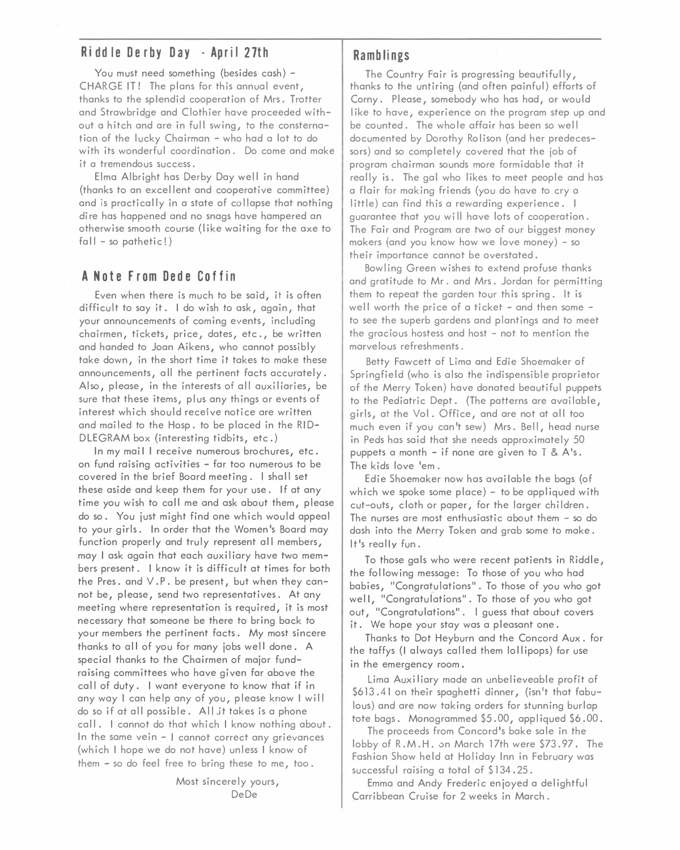# **R i ddle Derby Day · Apri I 27th**

You must need something (besides cash) -CHARGE IT! The plans for this annual event, thanks to the splendid cooperation of Mrs. Trotter and Strawbridge and Clothier hove proceeded without a hitch and ore in full swing, to the consternation of the lucky Chairman - who hod a lot to do with its wonderful coordination. Do come and make it a tremendous success.

Elma Albright hos Derby Day well in hand (thanks to on excel lent and cooperative committee) and is practically in a state of collapse that nothing dire has happened and no snags have hampered an otherwise smooth course (like waiting for the axe to fall – so pathetic!)

# **A Note From Dede Coffin**

Even when there is much to be said, it is often difficult to say it. I do wish to ask, again, that your announcements of coming events, including chairmen, tickets, price, dotes, etc., be written and handed to Joan Aikens, who cannot possibly take down, in the short time it takes to make these announcements, all the pertinent facts accurately. Also, please, in the interests of all auxiliaries, be sure that these items, plus any things or events of interest which should receive notice are written and mailed to the Hosp. to be placed in the RID-DLE GRAM box (interesting tidbits, etc.)

In my mail I receive numerous brochures, etc. on fund raising activities - far too numerous to be covered in the brief Board meeting. I shall set these aside and keep them for your use. If at any time you wish to call me and ask about them, please do so. You just might find one which would appeal to your girls. In order that the Women's Board may function properly and truly represent all members, may I ask again that each auxiliary have two members present. I know it is difficult at times for both the Pres. and V. P. be present, but when they cannot be, please, send two representatives. At any meeting where representation is required, it is most necessary that someone be there to bring back to your members the pertinent facts. My most sincere thanks to all of you for many jobs well done. A special thanks to the Chairmen of major fundraising committees who have given far above the call of duty. I want everyone to know that if in any way I can help any of you, please know I will do so if at all possible. All jt takes is a phone call. I cannot do that which I know nothing about. In the same vein - I cannot correct any grievances (which I hope we do not have) unless I know of them - so do feel free to bring these to me, too.

> Most sincerely yours, DeDe

# **R amblings**

The Country Fair is progressing beautifully, thanks to the untiring (and often painful) efforts of Corny. Please, somebody who has had, or would like to have, experience on the program step up and be counted. The whole affair has been so well documented by Dorothy Rolison (and her predecessors) and so completely covered that the job of program chairman sounds more formidable that it really is. The gal who likes to meet people and has a flair for making friends (you do have to cry a little) con find this a rewarding experience. I guarantee that you wi 11 have lots of cooperation. The Fair and Program are two of our biggest money makers (and you know how we love money) - so their importance cannot be overstated.

Bowling Green wishes to extend profuse thanks and gratitude to Mr. and Mrs. Jordan for permitting them to repeat the garden tour this spring. It is well worth the price of a ticket  $-$  and then some  $$ to see the superb gardens and plantings and to meet the gracious hostess and host - not to mention the marvelous refreshments.

Betty Fawcett of Lima and Edie Shoemaker of Springfield (who is also the indispensible proprietor of the Merry Token) have donated beautiful puppets to the Pediatric Dept. (The patterns are available, girls, at the Vol. Office, and are not at all too much even if you can't sew) Mrs. Bell, head nurse in Peds has said that she needs approximately 50 puppets a month - if none are given to  $T & A's$ . The kids love 'em.

Edie Shoemaker now has available the bags (of which we spoke some place) - to be appliqued with cut-outs, cloth or paper, for the larger children. The nurses are most enthusiastic about them - so do dash into the Merry Token and grab some to make. It's really fun.

To those gals who were recent patients in Riddle, the fol lowing message: To those of you who had babies, "Congratulations". To those of you who got well, "Congratulations". To those of you who got out, "Congratulations". I guess that about covers it. We hope your stay was a pleasant one.

Thanks to Dot Heyburn and the Concord Aux. for the taffys (I always called them lollipops) for use in the emergency room.

Lima Auxiliary made an unbelieveable profit of \$613.41 on their spaghetti dinner, (isn't that fabulous) and are now taking orders for stunning burlap tote bags. Monogrammed \$5.00, appliqued \$6.00.

The proceeds from Concord's bake sale in the lobby of R.M.H. on March 17th were \$73.97. The Fashion Show held at Holiday Inn in February was successful raising a total of \$134.25.

Emma and Andy Frederic enjoyed a delightful Carribbean Cruise for 2 weeks in March.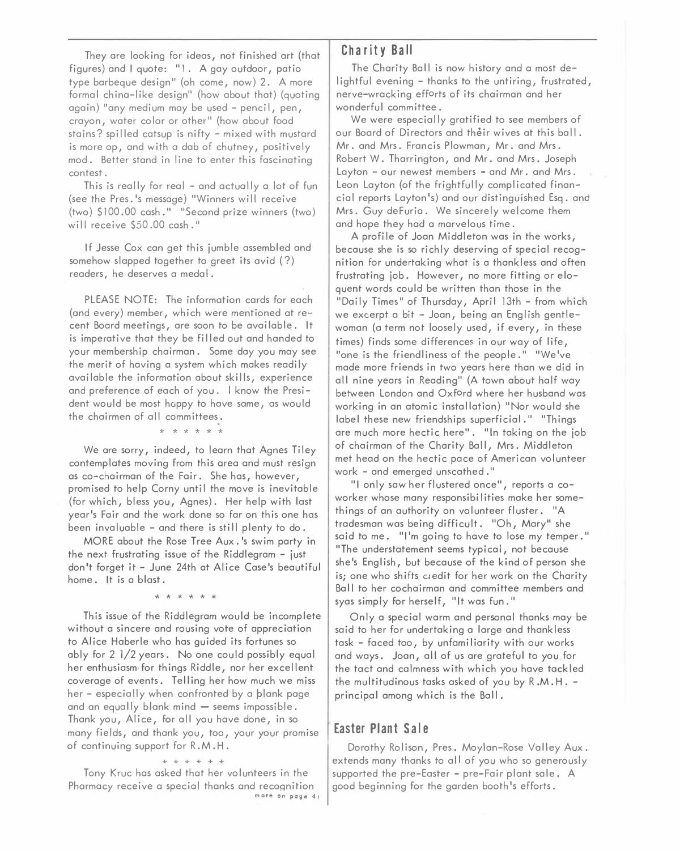They ore looking for ideas, not finished art (that figures) and I quote: "l . A gay outdoor, patio type borbeque design" (oh come, now) 2. A more formal china-like design" (how about that) (quoting again) "any medium may be used - pencil, pen, crayon, water color or other " (how about food stains? spilled catsup is nifty - mixed with mustard is more op, and with a dab of chutney, positively mod. Better stand in line to enter this fascinating contest.

This is really for real - and actually a lot of fun (see the Pres.'s message) "Winners will receive (two) \$100.00 cash." "Second prize winners (two) will receive \$50.00 cash."

If Jesse Cox can get this jumble assembled and somehow slapped together to greet its avid ( ?) readers, he deserves a medal.

PLEASE NOTE: The information cards for each (and every) member, which were mentioned at recent Board meetings, ore soon to be available. It is imperative that they be filled out and handed to your membership chairman. Some day you may see the merit of having a system which makes readily available the information about skills, experience and preference of each of you. I know the President would be most happy to have same, as would the chairmen of all committees.

\* \* \*\*\*\*

We are sorry, indeed, to learn that Agnes Tiley contemplates moving from this area and must resign as co-chairman of the Fair. She has, however, promised to help Corny until the move is inevitable (for which, bless you, Agnes). Her help with last year's Fair and the work done so far on this one has been invaluable - and there is still plenty to do.

MORE about the Rose Tree Aux. 's swim party in the next frustrating issue of the Riddlegram - just don't forget it - June 24th at Alice Case's beautiful home. It is a blast.

\* \* \* \* \* \*

This issue of the Riddlegram would be incomplete without a sincere and rousing vote of appreciation to Alice Haberle who has guided its fortunes so ably for 2 l/2 years. No one could possibly equal her enthusiasm for things Riddle, nor her excellent coverage of events. Telling her how much we miss her – especially when confronted by a blank page and an equally blank mind  $-$  seems impossible. Thank you, Alice, for all you have done, in so many fields, and thank you, too, your your promise of continuing support for R. M. H.

\* \* \* \* \* \*

Tony Kruc has asked that her volunteers in the Pharmacy receive a special thanks and recoqnition **more on page 4 <sup>1</sup>**

# **Ch a r it y Ba II**

The Charity Ball is now history and a most delightful evening - thanks to the untiring, frustrated, nerve-wracking efforts of its chairman and her wonderful committee.

We were especially gratified to see members of our Board of Directors and their wives at this ball. Mr. and Mrs. Francis Plowman, Mr. and Mrs. Robert W. Tharrington, and Mr. and Mrs. Joseph Layton - our newest members - and Mr. and Mrs. Leon Layton (of the frightfully complicated financial reports Layton's) and our distinguished Esq. and Mrs. Guy deFuria. We sincerely welcome them and hope they had a marvelous time.

A profile of Joan Middleton was in the works, because she is so richly deserving of special recognition for undertaking what is a thankless and often frustrating job. However, no more fitting or eloquent words could be written than those in the "Daily Times" of Thursday, April 13th - from which we excerpt a bit - Joan, being an English gentlewoman (a term not loosely used, if every, in these times) finds some differences in our way of life, "one is the friendliness of the people." "We've made more friends in two years here than we did in all nine years in Reading" (A town about half way between London and Oxford where her husband was working in an atomic installation) "Nor would she label these new friendships superficial." "Things are much more hectic here". "In taking on the job of chairman of the Charity Ball, Mrs. Middleton met head on the hectic pace of American volunteer work - and emerged unscathed."

"I only saw her flustered once", reports a coworker whose many responsibi I ities make her somethings of an authority on volunteer fluster. "A tradesman was being difficult. "Oh, Mary" she said to me. "I'm going to have to lose my temper." "The understatement seems typical, not because she's English, but because of the kind of person she is; one who shifts c;edit for her work on the Charity Ball to her cochairman and committee members and syas simply for herself, "It was fun. "

Only a special warm and personal thanks may be said to her for undertaking a large and thankless task - faced too, by unfamiliarity with our works and ways. Joan, all of us are grateful to you for the tact and calmness with which you have tackled the multitudinous tasks asked of you by R .M. H. principal among which is the Ball.

## **Easter Plant Sale**

Dorothy Rolison, Pres. Moylan-Rose Valley Aux. extends many thanks to all of you who so generously supported the pre-Easter - pre-Fair plant sale. A good beginning for the garden booth's efforts.